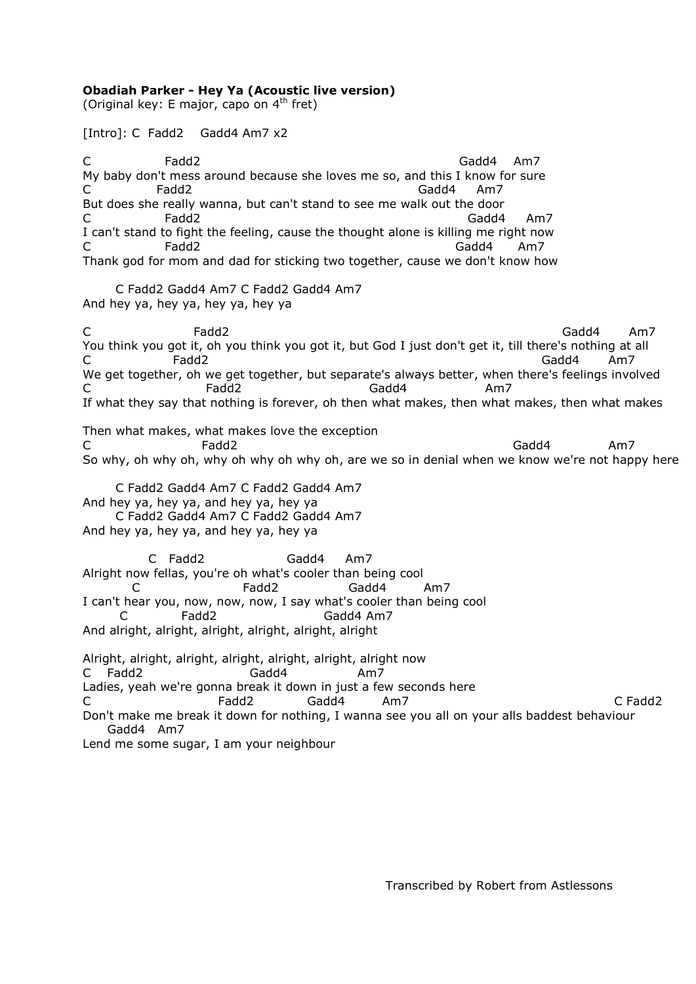## **Obadiah Parker - Hey Ya (Acoustic live version)**

(Original key: E major, capo on 4<sup>th</sup> fret)

[Intro]: C Fadd2 Gadd4 Am7 x2

C Fadd2 Gadd4 Am7 My baby don't mess around because she loves me so, and this I know for sure C Fadd2 Gadd4 Am7 But does she really wanna, but can't stand to see me walk out the door C Fadd2 Gadd4 Am7 I can't stand to fight the feeling, cause the thought alone is killing me right now C Fadd2 Gadd4 Am7 Thank god for mom and dad for sticking two together, cause we don't know how

 C Fadd2 Gadd4 Am7 C Fadd2 Gadd4 Am7 And hey ya, hey ya, hey ya, hey ya

C Fadd2 Gadd4 Am7 You think you got it, oh you think you got it, but God I just don't get it, till there's nothing at all C Fadd2 Gadd4 Am7 We get together, oh we get together, but separate's always better, when there's feelings involved C Fadd2 Gadd4 Am7 If what they say that nothing is forever, oh then what makes, then what makes, then what makes

Then what makes, what makes love the exception C Fadd2 Gadd4 Am7 So why, oh why oh, why oh why oh why oh, are we so in denial when we know we're not happy here

 C Fadd2 Gadd4 Am7 C Fadd2 Gadd4 Am7 And hey ya, hey ya, and hey ya, hey ya C Fadd2 Gadd4 Am7 C Fadd2 Gadd4 Am7 And hey ya, hey ya, and hey ya, hey ya

 C Fadd2 Gadd4 Am7 Alright now fellas, you're oh what's cooler than being cool C Fadd2 Gadd4 Am7 I can't hear you, now, now, now, I say what's cooler than being cool C Fadd2 Gadd4 Am7 And alright, alright, alright, alright, alright, alright

Alright, alright, alright, alright, alright, alright, alright now C Fadd2 Gadd4 Am7 Ladies, yeah we're gonna break it down in just a few seconds here C Fadd2 Gadd4 Am7 C Fadd2 Don't make me break it down for nothing, I wanna see you all on your alls baddest behaviour Gadd4 Am7 Lend me some sugar, I am your neighbour

Transcribed by Robert from Astlessons